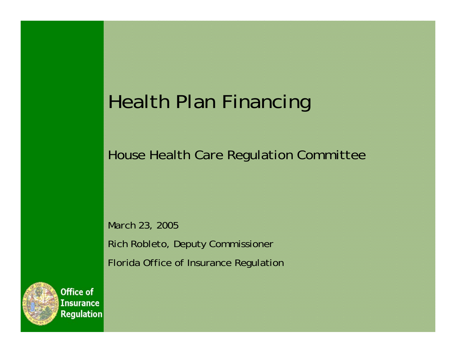# Health Plan Financing

House Health Care Regulation Committee

March 23, 2005 Rich Robleto, Deputy Commissioner Florida Office of Insurance Regulation



Office of **Insurance Regulation**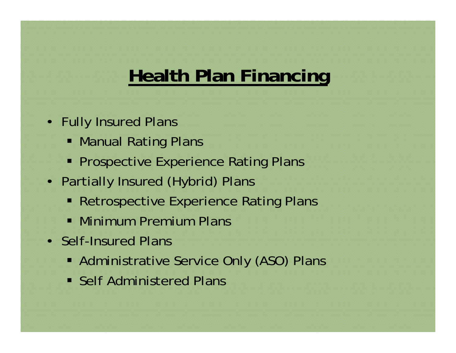### **Health Plan Financing**

- Fully Insured Plans
	- Manual Rating Plans
	- **Prospective Experience Rating Plans**
- Partially Insured (Hybrid) Plans
	- **Retrospective Experience Rating Plans**
	- Minimum Premium Plans
- Self-Insured Plans
	- Administrative Service Only (ASO) Plans
	- **Self Administered Plans**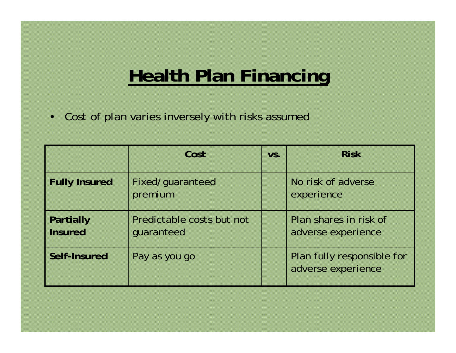# **Health Plan Financing**

•Cost of plan varies inversely with risks assumed

|                                    | Cost                                    | VS. | <b>Risk</b>                                      |
|------------------------------------|-----------------------------------------|-----|--------------------------------------------------|
| <b>Fully Insured</b>               | Fixed/guaranteed<br>premium             |     | No risk of adverse<br>experience                 |
| <b>Partially</b><br><b>Insured</b> | Predictable costs but not<br>quaranteed |     | Plan shares in risk of<br>adverse experience     |
| Self-Insured                       | Pay as you go                           |     | Plan fully responsible for<br>adverse experience |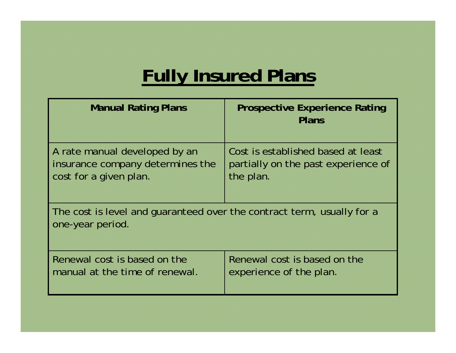# **Fully Insured Plans**

| <b>Manual Rating Plans</b>                                                                 | <b>Prospective Experience Rating</b><br>Plans |  |  |  |  |
|--------------------------------------------------------------------------------------------|-----------------------------------------------|--|--|--|--|
| A rate manual developed by an                                                              | Cost is established based at least            |  |  |  |  |
| insurance company determines the                                                           | partially on the past experience of           |  |  |  |  |
| cost for a given plan.                                                                     | the plan.                                     |  |  |  |  |
| The cost is level and quaranteed over the contract term, usually for a<br>one-year period. |                                               |  |  |  |  |
| Renewal cost is based on the                                                               | Renewal cost is based on the                  |  |  |  |  |
| manual at the time of renewal.                                                             | experience of the plan.                       |  |  |  |  |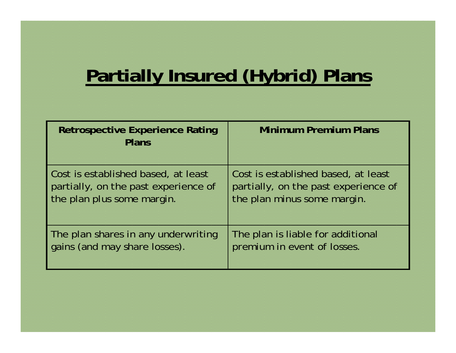## **Partially Insured (Hybrid) Plans**

| <b>Retrospective Experience Rating</b><br><b>Plans</b> | <b>Minimum Premium Plans</b>         |
|--------------------------------------------------------|--------------------------------------|
| Cost is established based, at least                    | Cost is established based, at least  |
| partially, on the past experience of                   | partially, on the past experience of |
| the plan plus some margin.                             | the plan minus some margin.          |
| The plan shares in any underwriting                    | The plan is liable for additional    |
| gains (and may share losses).                          | premium in event of losses.          |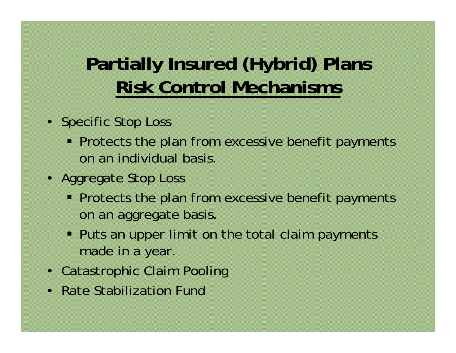# **Partially Insured (Hybrid) Plans Risk Control Mechanisms**

- Specific Stop Loss
	- **Protects the plan from excessive benefit payments** on an individual basis.
- Aggregate Stop Loss
	- **Protects the plan from excessive benefit payments** on an aggregate basis.
	- **Puts an upper limit on the total claim payments** made in a year.
- Catastrophic Claim Pooling
- Rate Stabilization Fund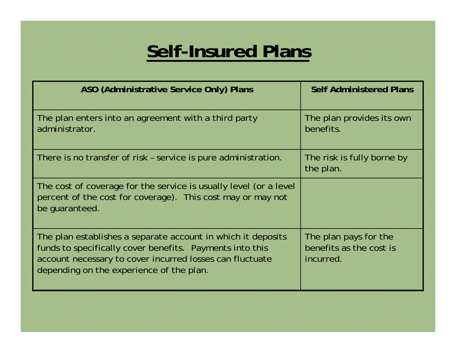### **Self-Insured Plans**

| ASO (Administrative Service Only) Plans                                                                                                                                                                                          | <b>Self Administered Plans</b>                                |
|----------------------------------------------------------------------------------------------------------------------------------------------------------------------------------------------------------------------------------|---------------------------------------------------------------|
| The plan enters into an agreement with a third party<br>administrator.                                                                                                                                                           | The plan provides its own<br>benefits.                        |
| There is no transfer of risk - service is pure administration.                                                                                                                                                                   | The risk is fully borne by<br>the plan.                       |
| The cost of coverage for the service is usually level (or a level<br>percent of the cost for coverage). This cost may or may not<br>be quaranteed.                                                                               |                                                               |
| The plan establishes a separate account in which it deposits<br>funds to specifically cover benefits. Payments into this<br>account necessary to cover incurred losses can fluctuate<br>depending on the experience of the plan. | The plan pays for the<br>benefits as the cost is<br>incurred. |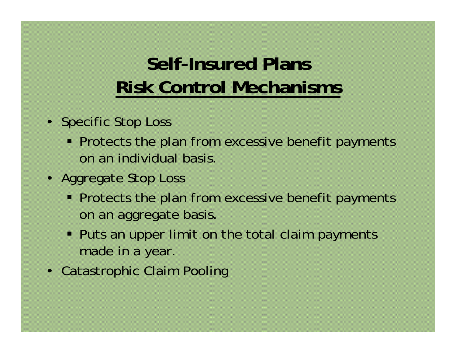# **Self-Insured PlansRisk Control Mechanisms**

- Specific Stop Loss
	- **Protects the plan from excessive benefit payments** on an individual basis.
- Aggregate Stop Loss
	- **Protects the plan from excessive benefit payments** on an aggregate basis.
	- **Puts an upper limit on the total claim payments** made in a year.
- Catastrophic Claim Pooling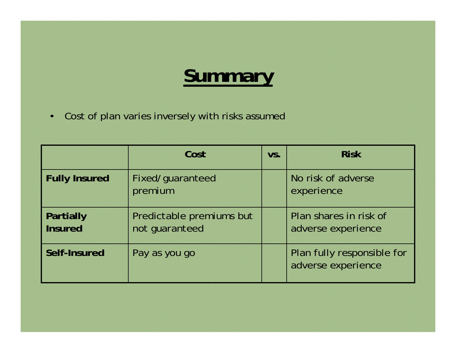# **Summary**

•Cost of plan varies inversely with risks assumed

|                             | Cost                                       | VS. | <b>Risk</b>                                      |
|-----------------------------|--------------------------------------------|-----|--------------------------------------------------|
| <b>Fully Insured</b>        | Fixed/guaranteed<br>premium                |     | No risk of adverse<br>experience                 |
| Partially<br><b>Insured</b> | Predictable premiums but<br>not guaranteed |     | Plan shares in risk of<br>adverse experience     |
| Self-Insured                | Pay as you go                              |     | Plan fully responsible for<br>adverse experience |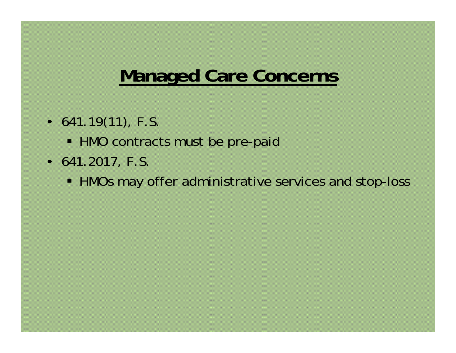#### **Managed Care Concerns**

- $641.19(11)$ , F.S.
	- HMO contracts must be pre-paid
- 641.2017, F.S.
	- HMOs may offer administrative services and stop-loss